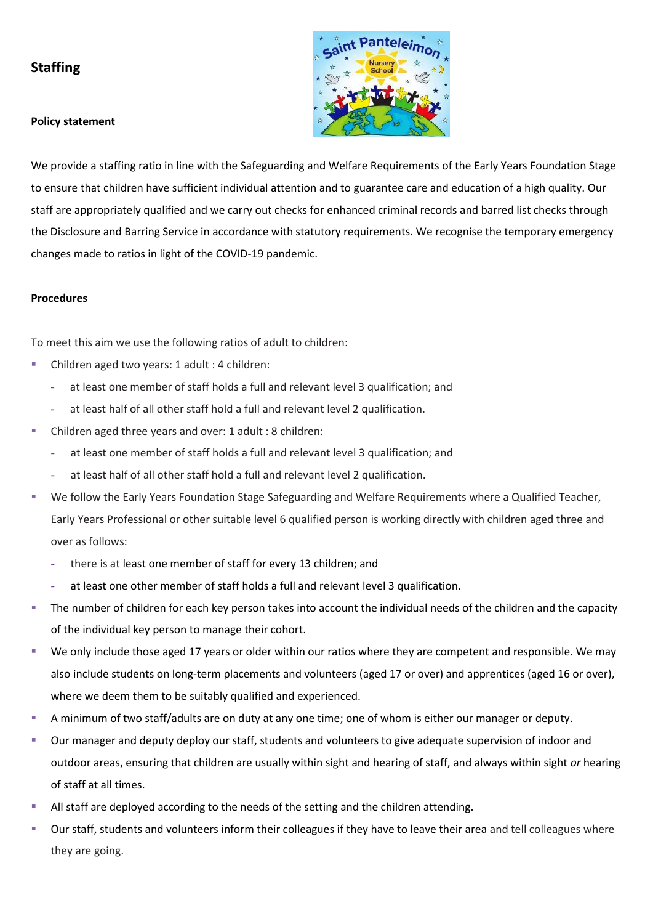## **Staffing**





We provide a staffing ratio in line with the Safeguarding and Welfare Requirements of the Early Years Foundation Stage to ensure that children have sufficient individual attention and to guarantee care and education of a high quality. Our staff are appropriately qualified and we carry out checks for enhanced criminal records and barred list checks through the Disclosure and Barring Service in accordance with statutory requirements. We recognise the temporary emergency changes made to ratios in light of the COVID-19 pandemic.

## **Procedures**

To meet this aim we use the following ratios of adult to children:

- Children aged two years: 1 adult : 4 children:
	- **-** at least one member of staff holds a full and relevant level 3 qualification; and
	- **-** at least half of all other staff hold a full and relevant level 2 qualification.
- Children aged three years and over: 1 adult : 8 children:
	- **-** at least one member of staff holds a full and relevant level 3 qualification; and
	- **-** at least half of all other staff hold a full and relevant level 2 qualification.
- We follow the Early Years Foundation Stage Safeguarding and Welfare Requirements where a Qualified Teacher, Early Years Professional or other suitable level 6 qualified person is working directly with children aged three and over as follows:
	- **-** there is at least one member of staff for every 13 children; and
	- **-** at least one other member of staff holds a full and relevant level 3 qualification.
- The number of children for each key person takes into account the individual needs of the children and the capacity of the individual key person to manage their cohort.
- We only include those aged 17 years or older within our ratios where they are competent and responsible. We may also include students on long-term placements and volunteers (aged 17 or over) and apprentices (aged 16 or over), where we deem them to be suitably qualified and experienced.
- A minimum of two staff/adults are on duty at any one time; one of whom is either our manager or deputy.
- Our manager and deputy deploy our staff, students and volunteers to give adequate supervision of indoor and outdoor areas, ensuring that children are usually within sight and hearing of staff, and always within sight *or* hearing of staff at all times.
- All staff are deployed according to the needs of the setting and the children attending.
- Our staff, students and volunteers inform their colleagues if they have to leave their area and tell colleagues where they are going.